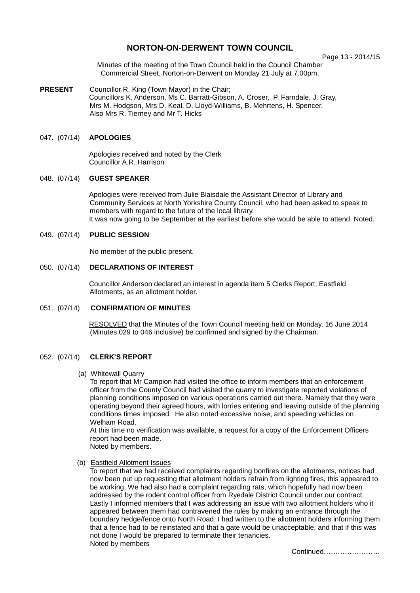# **NORTON-ON-DERWENT TOWN COUNCIL**

Page 13 - 2014/15

Minutes of the meeting of the Town Council held in the Council Chamber Commercial Street, Norton-on-Derwent on Monday 21 July at 7.00pm.

**PRESENT** Councillor R. King (Town Mayor) in the Chair; Councillors K. Anderson, Ms C. Barratt-Gibson, A. Croser, P. Farndale, J. Gray, Mrs M. Hodgson, Mrs D. Keal, D. Lloyd-Williams, B. Mehrtens, H. Spencer. Also Mrs R. Tierney and Mr T. Hicks

# 047. (07/14) **APOLOGIES**

 Apologies received and noted by the Clerk Councillor A.R. Harrison.

# 048. (07/14) **GUEST SPEAKER**

Apologies were received from Julie Blaisdale the Assistant Director of Library and Community Services at North Yorkshire County Council, who had been asked to speak to members with regard to the future of the local library. It was now going to be September at the earliest before she would be able to attend. Noted.

# 049. (07/14) **PUBLIC SESSION**

No member of the public present.

# 050. (07/14) **DECLARATIONS OF INTEREST**

 Councillor Anderson declared an interest in agenda item 5 Clerks Report, Eastfield Allotments, as an allotment holder.

#### 051. (07/14) **CONFIRMATION OF MINUTES**

RESOLVED that the Minutes of the Town Council meeting held on Monday, 16 June 2014 (Minutes 029 to 046 inclusive) be confirmed and signed by the Chairman.

#### 052. (07/14) **CLERK'S REPORT**

(a) Whitewall Quarry

To report that Mr Campion had visited the office to inform members that an enforcement officer from the County Council had visited the quarry to investigate reported violations of planning conditions imposed on various operations carried out there. Namely that they were operating beyond their agreed hours, with lorries entering and leaving outside of the planning conditions times imposed. He also noted excessive noise, and speeding vehicles on Welham Road

At this time no verification was available, a request for a copy of the Enforcement Officers report had been made.

Noted by members.

# (b) Eastfield Allotment Issues

To report that we had received complaints regarding bonfires on the allotments, notices had now been put up requesting that allotment holders refrain from lighting fires, this appeared to be working. We had also had a complaint regarding rats, which hopefully had now been addressed by the rodent control officer from Ryedale District Council under our contract. Lastly I informed members that I was addressing an issue with two allotment holders who it appeared between them had contravened the rules by making an entrance through the boundary hedge/fence onto North Road. I had written to the allotment holders informing them that a fence had to be reinstated and that a gate would be unacceptable, and that if this was not done I would be prepared to terminate their tenancies. Noted by members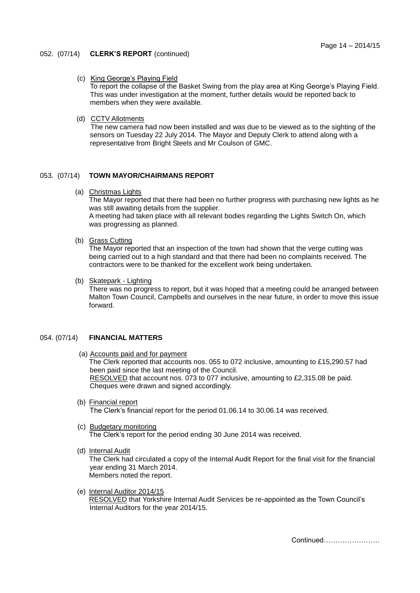#### 052. (07/14) **CLERK'S REPORT** (continued)

#### (c) King George's Playing Field

To report the collapse of the Basket Swing from the play area at King George's Playing Field. This was under investigation at the moment, further details would be reported back to members when they were available.

#### (d) CCTV Allotments

The new camera had now been installed and was due to be viewed as to the sighting of the sensors on Tuesday 22 July 2014. The Mayor and Deputy Clerk to attend along with a representative from Bright Steels and Mr Coulson of GMC.

# 053. (07/14) **TOWN MAYOR/CHAIRMANS REPORT**

(a) Christmas Lights

The Mayor reported that there had been no further progress with purchasing new lights as he was still awaiting details from the supplier. A meeting had taken place with all relevant bodies regarding the Lights Switch On, which

was progressing as planned.

# (b) Grass Cutting

The Mayor reported that an inspection of the town had shown that the verge cutting was being carried out to a high standard and that there had been no complaints received. The contractors were to be thanked for the excellent work being undertaken.

(b) Skatepark - Lighting

There was no progress to report, but it was hoped that a meeting could be arranged between Malton Town Council, Campbells and ourselves in the near future, in order to move this issue forward.

# 054. (07/14) **FINANCIAL MATTERS**

- (a) Accounts paid and for payment The Clerk reported that accounts nos. 055 to 072 inclusive, amounting to £15,290.57 had been paid since the last meeting of the Council. RESOLVED that account nos. 073 to 077 inclusive, amounting to £2,315.08 be paid. Cheques were drawn and signed accordingly.
- (b) Financial report

The Clerk's financial report for the period 01.06.14 to 30.06.14 was received.

- (c) Budgetary monitoring The Clerk's report for the period ending 30 June 2014 was received.
- (d) Internal Audit

The Clerk had circulated a copy of the Internal Audit Report for the final visit for the financial year ending 31 March 2014. Members noted the report.

(e) Internal Auditor 2014/15

RESOLVED that Yorkshire Internal Audit Services be re-appointed as the Town Council's Internal Auditors for the year 2014/15.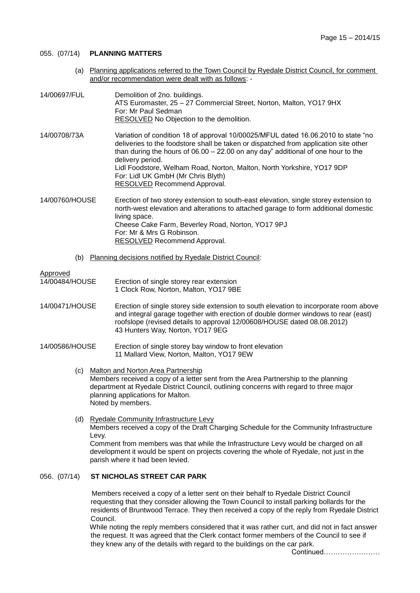# 055. (07/14) **PLANNING MATTERS**

 (a) Planning applications referred to the Town Council by Ryedale District Council, for comment and/or recommendation were dealt with as follows: -

| 14/00697/FUL   | Demolition of 2no. buildings.<br>ATS Euromaster, 25 - 27 Commercial Street, Norton, Malton, YO17 9HX<br>For: Mr Paul Sedman<br>RESOLVED No Objection to the demolition.                                                                                                                                                                                                                                                             |
|----------------|-------------------------------------------------------------------------------------------------------------------------------------------------------------------------------------------------------------------------------------------------------------------------------------------------------------------------------------------------------------------------------------------------------------------------------------|
| 14/00708/73A   | Variation of condition 18 of approval 10/00025/MFUL dated 16.06.2010 to state "no<br>deliveries to the foodstore shall be taken or dispatched from application site other<br>than during the hours of $06.00 - 22.00$ on any day" additional of one hour to the<br>delivery period.<br>Lidl Foodstore, Welham Road, Norton, Malton, North Yorkshire, YO17 9DP<br>For: Lidl UK GmbH (Mr Chris Blyth)<br>RESOLVED Recommend Approval. |
| 14/00760/HOUSE | Erection of two storey extension to south-east elevation, single storey extension to<br>north-west elevation and alterations to attached garage to form additional domestic<br>living space.<br>Cheese Cake Farm, Beverley Road, Norton, YO17 9PJ<br>For: Mr & Mrs G Robinson.<br>RESOLVED Recommend Approval.                                                                                                                      |

(b) Planning decisions notified by Ryedale District Council:

Approved<br>14/00484/HOUSE Erection of single storey rear extension 1 Clock Row, Norton, Malton, YO17 9BE

- 14/00471/HOUSE Erection of single storey side extension to south elevation to incorporate room above and integral garage together with erection of double dormer windows to rear (east) roofslope (revised details to approval 12/00608/HOUSE dated 08.08.2012) 43 Hunters Way, Norton, YO17 9EG
- 14/00586/HOUSE Erection of single storey bay window to front elevation 11 Mallard View, Norton, Malton, YO17 9EW
	- (c) Malton and Norton Area Partnership Members received a copy of a letter sent from the Area Partnership to the planning department at Ryedale District Council, outlining concerns with regard to three major planning applications for Malton. Noted by members.
	- (d) Ryedale Community Infrastructure Levy Members received a copy of the Draft Charging Schedule for the Community Infrastructure Levy. Comment from members was that while the Infrastructure Levy would be charged on all

development it would be spent on projects covering the whole of Ryedale, not just in the parish where it had been levied.

#### 056. (07/14) **ST NICHOLAS STREET CAR PARK**

Members received a copy of a letter sent on their behalf to Ryedale District Council requesting that they consider allowing the Town Council to install parking bollards for the residents of Bruntwood Terrace. They then received a copy of the reply from Ryedale District Council.

While noting the reply members considered that it was rather curt, and did not in fact answer the request. It was agreed that the Clerk contact former members of the Council to see if they knew any of the details with regard to the buildings on the car park.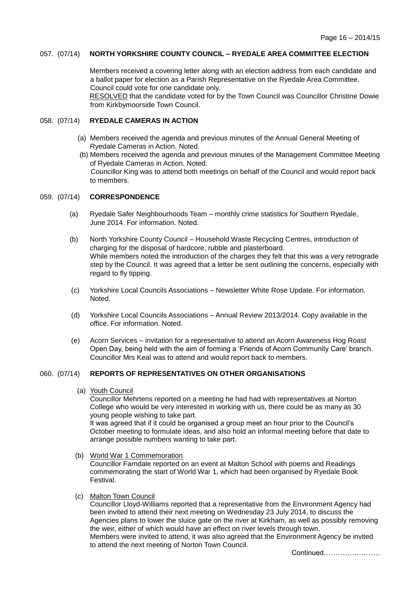#### 057. (07/14) **NORTH YORKSHIRE COUNTY COUNCIL – RYEDALE AREA COMMITTEE ELECTION**

 Members received a covering letter along with an election address from each candidate and a ballot paper for election as a Parish Representative on the Ryedale Area Committee. Council could vote for one candidate only. RESOLVED that the candidate voted for by the Town Council was Councillor Christine Dowie from Kirkbymoorside Town Council.

## 058. (07/14) **RYEDALE CAMERAS IN ACTION**

- (a) Members received the agenda and previous minutes of the Annual General Meeting of Ryedale Cameras in Action. Noted.
- (b) Members received the agenda and previous minutes of the Management Committee Meeting of Ryedale Cameras in Action. Noted. Councillor King was to attend both meetings on behalf of the Council and would report back to members.

# 059. (07/14) **CORRESPONDENCE**

- (a) Ryedale Safer Neighbourhoods Team monthly crime statistics for Southern Ryedale, June 2014. For information. Noted.
- (b) North Yorkshire County Council Household Waste Recycling Centres, introduction of charging for the disposal of hardcore, rubble and plasterboard. While members noted the introduction of the charges they felt that this was a very retrograde step by the Council. It was agreed that a letter be sent outlining the concerns, especially with regard to fly tipping.
- (c) Yorkshire Local Councils Associations Newsletter White Rose Update. For information. Noted.
- (d) Yorkshire Local Councils Associations Annual Review 2013/2014. Copy available in the office. For information. Noted.
- (e) Acorn Services invitation for a representative to attend an Acorn Awareness Hog Roast Open Day, being held with the aim of forming a 'Friends of Acorn Community Care' branch. Councillor Mrs Keal was to attend and would report back to members.

# 060. (07/14) **REPORTS OF REPRESENTATIVES ON OTHER ORGANISATIONS**

(a) Youth Council

Councillor Mehrtens reported on a meeting he had had with representatives at Norton College who would be very interested in working with us, there could be as many as 30 young people wishing to take part.

It was agreed that if it could be organised a group meet an hour prior to the Council's October meeting to formulate ideas, and also hold an informal meeting before that date to arrange possible numbers wanting to take part.

(b) World War 1 Commemoration

Councillor Farndale reported on an event at Malton School with poems and Readings commemorating the start of World War 1, which had been organised by Ryedale Book Festival.

(c) Malton Town Council

Councillor Lloyd-Williams reported that a representative from the Environment Agency had been invited to attend their next meeting on Wednesday 23 July 2014, to discuss the Agencies plans to lower the sluice gate on the river at Kirkham, as well as possibly removing the weir, either of which would have an effect on river levels through town. Members were invited to attend, it was also agreed that the Environment Agency be invited to attend the next meeting of Norton Town Council.